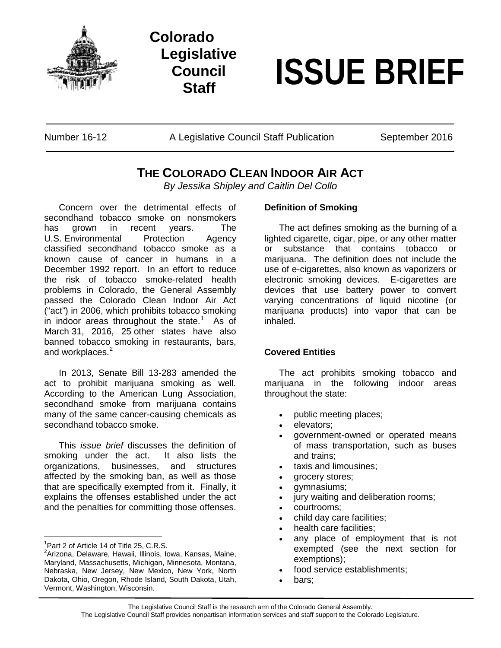

## **Colorado Legislative Council**

# **Staff ISSUE BRIEF**

Number 16-12 **A Legislative Council Staff Publication** September 2016

### **THE COLORADO CLEAN INDOOR AIR ACT**

*By Jessika Shipley and Caitlin Del Collo*

Concern over the detrimental effects of secondhand tobacco smoke on nonsmokers has grown in recent years. The U.S. Environmental Protection Agency classified secondhand tobacco smoke as a known cause of cancer in humans in a December 1992 report. In an effort to reduce the risk of tobacco smoke-related health problems in Colorado, the General Assembly passed the Colorado Clean Indoor Air Act ("act") in 2006, which prohibits tobacco smoking in indoor areas throughout the state.<sup>[1](#page-0-0)</sup> As of March 31, 2016, 25 other states have also banned tobacco smoking in restaurants, bars, and workplaces.<sup>[2](#page-0-1)</sup>

In 2013, Senate Bill 13-283 amended the act to prohibit marijuana smoking as well. According to the American Lung Association, secondhand smoke from marijuana contains many of the same cancer-causing chemicals as secondhand tobacco smoke.

This *issue brief* discusses the definition of smoking under the act. It also lists the organizations, businesses, and structures affected by the smoking ban, as well as those that are specifically exempted from it. Finally, it explains the offenses established under the act and the penalties for committing those offenses.

 $\frac{1}{1}$  $1$ Part 2 of Article 14 of Title 25, C.R.S.

#### **Definition of Smoking**

The act defines smoking as the burning of a lighted cigarette, cigar, pipe, or any other matter or substance that contains tobacco or marijuana. The definition does not include the use of e-cigarettes, also known as vaporizers or electronic smoking devices. E-cigarettes are devices that use battery power to convert varying concentrations of liquid nicotine (or marijuana products) into vapor that can be inhaled.

#### **Covered Entities**

The act prohibits smoking tobacco and marijuana in the following indoor areas throughout the state:

- public meeting places;
- elevators:
- government-owned or operated means of mass transportation, such as buses and trains;
- taxis and limousines;
- grocery stores;
- gymnasiums;
- jury waiting and deliberation rooms;
- courtrooms;
- child day care facilities;
- health care facilities:
- any place of employment that is not exempted (see the next section for exemptions);
- food service establishments;
- bars:

<span id="page-0-1"></span><span id="page-0-0"></span><sup>&</sup>lt;sup>2</sup>Arizona, Delaware, Hawaii, Illinois, Iowa, Kansas, Maine, Maryland, Massachusetts, Michigan, Minnesota, Montana, Nebraska, New Jersey, New Mexico, New York, North Dakota, Ohio, Oregon, Rhode Island, South Dakota, Utah, Vermont, Washington, Wisconsin.